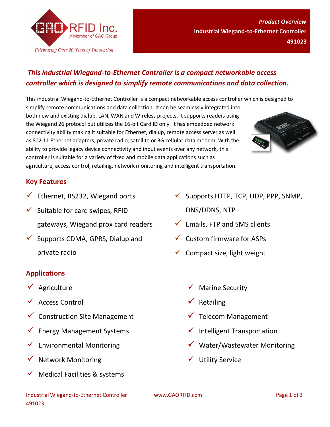

## *This industrial Wiegand-to-Ethernet Controller is a compact networkable access controller which is designed to simplify remote communications and data collection.*

This industrial Wiegand-to-Ethernet Controller is a compact networkable access controller which is designed to simplify remote communications and data collection. It can be seamlessly integrated into both new and existing dialup, LAN, WAN and Wireless projects. It supports readers using the Wiegand 26 protocol but utilizes the 16-bit Card ID only. It has embedded network connectivity ability making it suitable for Ethernet, dialup, remote access server as well as 802.11 Ethernet adapters, private radio, satellite or 3G cellular data modem. With the ability to provide legacy device connectivity and input events over any network, this controller is suitable for a variety of fixed and mobile data applications such as agriculture, access control, retailing, network monitoring and intelligent transportation.



- $\checkmark$  Ethernet, RS232, Wiegand ports
- $\checkmark$  Suitable for card swipes, RFID gateways, Wiegand prox card readers
- $\checkmark$  Supports CDMA, GPRS, Dialup and private radio

## **Applications**

- $\sqrt{\phantom{a}}$  Agriculture
- Access Control
- $\checkmark$  Construction Site Management
- $\checkmark$  Energy Management Systems
- Environmental Monitoring
- $\checkmark$  Network Monitoring
- Medical Facilities & systems
- $\checkmark$  Supports HTTP, TCP, UDP, PPP, SNMP, DNS/DDNS, NTP
- $\checkmark$  Emails, FTP and SMS clients
- $\checkmark$  Custom firmware for ASPs
- $\checkmark$  Compact size, light weight
	- Marine Security
	- $\checkmark$  Retailing
	- $\checkmark$  Telecom Management
	- $\checkmark$  Intelligent Transportation
	- $\checkmark$  Water/Wastewater Monitoring
	- $\checkmark$  Utility Service

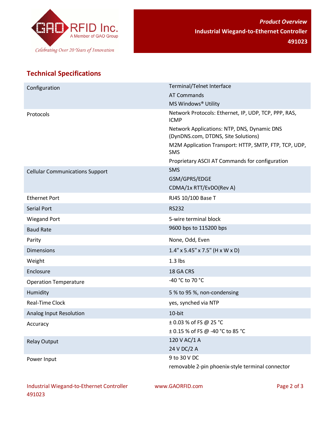

## **Technical Specifications**

| Configuration                          | Terminal/Telnet Interface                                                          |
|----------------------------------------|------------------------------------------------------------------------------------|
|                                        | <b>AT Commands</b>                                                                 |
|                                        | MS Windows® Utility                                                                |
| Protocols                              | Network Protocols: Ethernet, IP, UDP, TCP, PPP, RAS,<br><b>ICMP</b>                |
|                                        | Network Applications: NTP, DNS, Dynamic DNS<br>(DynDNS.com, DTDNS, Site Solutions) |
|                                        | M2M Application Transport: HTTP, SMTP, FTP, TCP, UDP,<br>SMS                       |
|                                        | Proprietary ASCII AT Commands for configuration                                    |
| <b>Cellular Communications Support</b> | <b>SMS</b>                                                                         |
|                                        | GSM/GPRS/EDGE                                                                      |
|                                        | CDMA/1x RTT/EvDO(Rev A)                                                            |
| <b>Ethernet Port</b>                   | RJ45 10/100 Base T                                                                 |
| <b>Serial Port</b>                     | <b>RS232</b>                                                                       |
| <b>Wiegand Port</b>                    | 5-wire terminal block                                                              |
| <b>Baud Rate</b>                       | 9600 bps to 115200 bps                                                             |
| Parity                                 | None, Odd, Even                                                                    |
| <b>Dimensions</b>                      | $1.4" \times 5.45" \times 7.5"$ (H x W x D)                                        |
| Weight                                 | $1.3$ lbs                                                                          |
| Enclosure                              | 18 GA CRS                                                                          |
| <b>Operation Temperature</b>           | -40 °C to 70 °C                                                                    |
| Humidity                               | 5 % to 95 %, non-condensing                                                        |
| Real-Time Clock                        | yes, synched via NTP                                                               |
| Analog Input Resolution                | 10-bit                                                                             |
| Accuracy                               | $\pm$ 0.03 % of FS @ 25 °C                                                         |
|                                        | ± 0.15 % of FS @ -40 °C to 85 °C                                                   |
| <b>Relay Output</b>                    | 120 V AC/1 A                                                                       |
|                                        | 24 V DC/2 A                                                                        |
| Power Input                            | 9 to 30 V DC                                                                       |
|                                        | removable 2-pin phoenix-style terminal connector                                   |